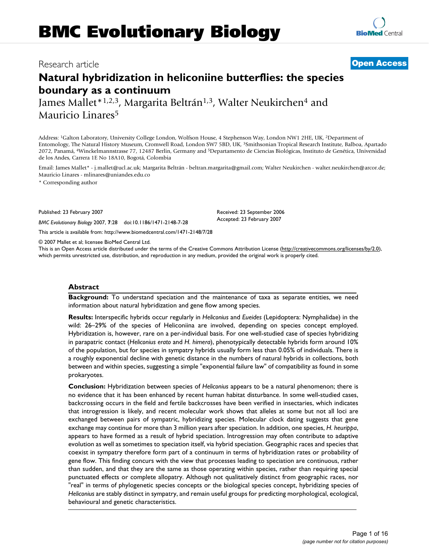# Research article **[Open Access](http://www.biomedcentral.com/info/about/charter/)**

# **Natural hybridization in heliconiine butterflies: the species boundary as a continuum**

James Mallet\*<sup>1,2,3</sup>, Margarita Beltrán<sup>1,3</sup>, Walter Neukirchen<sup>4</sup> and Mauricio Linares5

Address: 1Galton Laboratory, University College London, Wolfson House, 4 Stephenson Way, London NW1 2HE, UK, 2Department of Entomology, The Natural History Museum, Cromwell Road, London SW7 5BD, UK, 3Smithsonian Tropical Research Institute, Balboa, Apartado 2072, Panamá, 4Winckelmannstrasse 77, 12487 Berlin, Germany and 5Departamento de Ciencias Biológicas, Instituto de Genética, Universidad de los Andes, Carrera 1E No 18A10, Bogotá, Colombia

Email: James Mallet\* - j.mallet@ucl.ac.uk; Margarita Beltrán - beltran.margarita@gmail.com; Walter Neukirchen - walter.neukirchen@arcor.de; Mauricio Linares - mlinares@uniandes.edu.co

\* Corresponding author

Published: 23 February 2007

*BMC Evolutionary Biology* 2007, **7**:28 doi:10.1186/1471-2148-7-28

[This article is available from: http://www.biomedcentral.com/1471-2148/7/28](http://www.biomedcentral.com/1471-2148/7/28)

© 2007 Mallet et al; licensee BioMed Central Ltd.

This is an Open Access article distributed under the terms of the Creative Commons Attribution License [\(http://creativecommons.org/licenses/by/2.0\)](http://creativecommons.org/licenses/by/2.0), which permits unrestricted use, distribution, and reproduction in any medium, provided the original work is properly cited.

#### **Abstract**

**Background:** To understand speciation and the maintenance of taxa as separate entities, we need information about natural hybridization and gene flow among species.

**Results:** Interspecific hybrids occur regularly in *Heliconius* and *Eueides* (Lepidoptera: Nymphalidae) in the wild: 26–29% of the species of Heliconiina are involved, depending on species concept employed. Hybridization is, however, rare on a per-individual basis. For one well-studied case of species hybridizing in parapatric contact (*Heliconius erato* and *H. himera*), phenotypically detectable hybrids form around 10% of the population, but for species in sympatry hybrids usually form less than 0.05% of individuals. There is a roughly exponential decline with genetic distance in the numbers of natural hybrids in collections, both between and within species, suggesting a simple "exponential failure law" of compatibility as found in some prokaryotes.

**Conclusion:** Hybridization between species of *Heliconius* appears to be a natural phenomenon; there is no evidence that it has been enhanced by recent human habitat disturbance. In some well-studied cases, backcrossing occurs in the field and fertile backcrosses have been verified in insectaries, which indicates that introgression is likely, and recent molecular work shows that alleles at some but not all loci are exchanged between pairs of sympatric, hybridizing species. Molecular clock dating suggests that gene exchange may continue for more than 3 million years after speciation. In addition, one species, *H. heurippa*, appears to have formed as a result of hybrid speciation. Introgression may often contribute to adaptive evolution as well as sometimes to speciation itself, via hybrid speciation. Geographic races and species that coexist in sympatry therefore form part of a continuum in terms of hybridization rates or probability of gene flow. This finding concurs with the view that processes leading to speciation are continuous, rather than sudden, and that they are the same as those operating within species, rather than requiring special punctuated effects or complete allopatry. Although not qualitatively distinct from geographic races, nor "real" in terms of phylogenetic species concepts or the biological species concept, hybridizing species of *Heliconius* are stably distinct in sympatry, and remain useful groups for predicting morphological, ecological, behavioural and genetic characteristics.

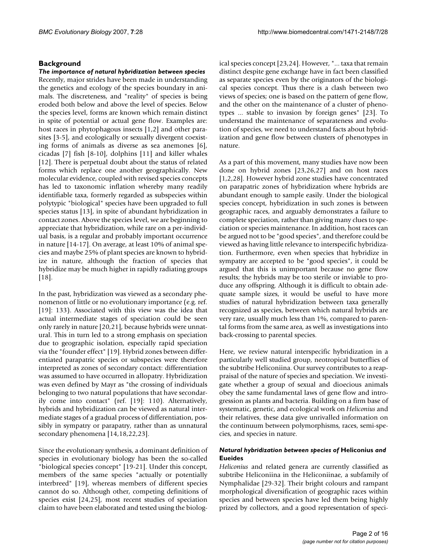# **Background**

#### *The importance of natural hybridization between species*

Recently, major strides have been made in understanding the genetics and ecology of the species boundary in animals. The discreteness, and "reality" of species is being eroded both below and above the level of species. Below the species level, forms are known which remain distinct in spite of potential or actual gene flow. Examples are: host races in phytophagous insects [1,2] and other parasites [3-5], and ecologically or sexually divergent coexisting forms of animals as diverse as sea anemones [6], cicadas [7] fish [8-10], dolphins [11] and killer whales [12]. There is perpetual doubt about the status of related forms which replace one another geographically. New molecular evidence, coupled with revised species concepts has led to taxonomic inflation whereby many readily identifiable taxa, formerly regarded as subspecies within polytypic "biological" species have been upgraded to full species status [13], in spite of abundant hybridization in contact zones. Above the species level, we are beginning to appreciate that hybridization, while rare on a per-individual basis, is a regular and probably important occurrence in nature [14-17]. On average, at least 10% of animal species and maybe 25% of plant species are known to hybridize in nature, although the fraction of species that hybridize may be much higher in rapidly radiating groups [18].

In the past, hybridization was viewed as a secondary phenomenon of little or no evolutionary importance (e.g. ref. [19]: 133). Associated with this view was the idea that actual intermediate stages of speciation could be seen only rarely in nature [20,21], because hybrids were unnatural. This in turn led to a strong emphasis on speciation due to geographic isolation, especially rapid speciation via the "founder effect" [19]. Hybrid zones between differentiated parapatric species or subspecies were therefore interpreted as zones of secondary contact: differentiation was assumed to have occurred in allopatry. Hybridization was even defined by Mayr as "the crossing of individuals belonging to two natural populations that have secondarily come into contact" (ref. [19]: 110). Alternatively, hybrids and hybridization can be viewed as natural intermediate stages of a gradual process of differentiation, possibly in sympatry or parapatry, rather than as unnatural secondary phenomena [14,18,22,23].

Since the evolutionary synthesis, a dominant definition of species in evolutionary biology has been the so-called "biological species concept" [19-21]. Under this concept, members of the same species "actually or potentially interbreed" [19], whereas members of different species cannot do so. Although other, competing definitions of species exist [24,25], most recent studies of speciation claim to have been elaborated and tested using the biological species concept [23,24]. However, "... taxa that remain distinct despite gene exchange have in fact been classified as separate species even by the originators of the biological species concept. Thus there is a clash between two views of species; one is based on the pattern of gene flow, and the other on the maintenance of a cluster of phenotypes ... stable to invasion by foreign genes" [23]. To understand the maintenance of separateness and evolution of species, we need to understand facts about hybridization and gene flow between clusters of phenotypes in nature.

As a part of this movement, many studies have now been done on hybrid zones [23,26,27] and on host races [1,2,28]. However hybrid zone studies have concentrated on parapatric zones of hybridization where hybrids are abundant enough to sample easily. Under the biological species concept, hybridization in such zones is between geographic races, and arguably demonstrates a failure to complete speciation, rather than giving many clues to speciation or species maintenance. In addition, host races can be argued not to be "good species", and therefore could be viewed as having little relevance to interspecific hybridization. Furthermore, even when species that hybridize in sympatry are accepted to be "good species", it could be argued that this is unimportant because no gene flow results; the hybrids may be too sterile or inviable to produce any offspring. Although it is difficult to obtain adequate sample sizes, it would be useful to have more studies of natural hybridization between taxa generally recognized as species, between which natural hybrids are very rare, usually much less than 1%, compared to parental forms from the same area, as well as investigations into back-crossing to parental species.

Here, we review natural interspecific hybridization in a particularly well studied group, neotropical butterflies of the subtribe Heliconiina. Our survey contributes to a reappraisal of the nature of species and speciation. We investigate whether a group of sexual and dioecious animals obey the same fundamental laws of gene flow and introgression as plants and bacteria. Building on a firm base of systematic, genetic, and ecological work on *Heliconius* and their relatives, these data give unrivalled information on the continuum between polymorphisms, races, semi-species, and species in nature.

#### *Natural hybridization between species of* **Heliconius** *and*  **Eueides**

*Heliconius* and related genera are currently classified as subtribe Heliconiina in the Heliconiinae, a subfamily of Nymphalidae [29-32]. Their bright colours and rampant morphological diversification of geographic races within species and between species have led them being highly prized by collectors, and a good representation of speci-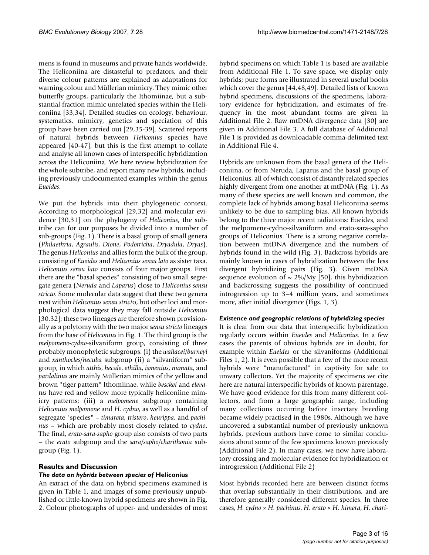mens is found in museums and private hands worldwide. The Heliconiina are distasteful to predators, and their diverse colour patterns are explained as adaptations for warning colour and Müllerian mimicry. They mimic other butterfly groups, particularly the Ithomiinae, but a substantial fraction mimic unrelated species within the Heliconiina [33,34]. Detailed studies on ecology, behaviour, systematics, mimicry, genetics and speciation of this group have been carried out [29,35-39]. Scattered reports of natural hybrids between *Heliconius* species have appeared [40-47], but this is the first attempt to collate and analyse all known cases of interspecific hybridization across the Heliconiina. We here review hybridization for the whole subtribe, and report many new hybrids, including previously undocumented examples within the genus *Eueides*.

We put the hybrids into their phylogenetic context. According to morphological [29,32] and molecular evidence [30,31] on the phylogeny of *Heliconius*, the subtribe can for our purposes be divided into a number of sub-groups (Fig. 1). There is a basal group of small genera (*Philaethria*, *Agraulis*, *Dione*, *Podotricha*, *Dryadula*, *Dryas*). The genus *Heliconius* and allies form the bulk of the group, consisting of *Eueides* and *Heliconius sensu lato* as sister taxa. *Heliconius sensu lato* consists of four major groups. First there are the "basal species" consisting of two small segregate genera (*Neruda* and *Laparus*) close to *Heliconius sensu stricto*. Some molecular data suggest that these two genera nest within *Heliconius sensu strict*o, but other loci and morphological data suggest they may fall outside *Heliconius* [30,32]; these two lineages are therefore shown provisionally as a polytomy with the two major *sensu stricto* lineages from the base of *Heliconius* in Fig. 1. The third group is the *melpomene-cydno*-silvaniform group, consisting of three probably monophyletic subgroups: (i) the *wallacei/burneyi* and *xanthocles*/*hecuba* subgroup (ii) a "silvaniform" subgroup, in which *atthis*, *hecale*, *ethilla*, *ismenius*, *numata*, and *pardalinus* are mainly Müllerian mimics of the yellow and brown "tiger pattern" Ithomiinae, while *besckei* and *elevatus* have red and yellow more typically heliconiine mimicry patterns; (iii) a *melpomene* subgroup containing *Heliconius melpomene* and *H. cydno*, as well as a handful of segregate "species" – *timareta*, *tristero*, *heurippa*, and *pachinus* – which are probably most closely related to *cydno*. The final, *erato-sara-sapho* group also consists of two parts – the *erato* subgroup and the *sara/sapho/charithonia* subgroup (Fig. 1).

# **Results and Discussion**

#### *The data on hybrids between species of* **Heliconius**

An extract of the data on hybrid specimens examined is given in Table 1, and images of some previously unpublished or little-known hybrid specimens are shown in Fig. 2. Colour photographs of upper- and undersides of most

hybrid specimens on which Table 1 is based are available from Additional File 1. To save space, we display only hybrids; pure forms are illustrated in several useful books which cover the genus [44,48,49]. Detailed lists of known hybrid specimens, discussions of the specimens, laboratory evidence for hybridization, and estimates of frequency in the most abundant forms are given in Additional File 2. Raw mtDNA divergence data [30] are given in Additional File 3. A full database of Additional File 1 is provided as downloadable comma-delimited text in Additional File 4.

Hybrids are unknown from the basal genera of the Heliconiina, or from Neruda, Laparus and the basal group of Heliconius, all of which consist of distantly related species highly divergent from one another at mtDNA (Fig. 1). As many of these species are well known and common, the complete lack of hybrids among basal Heliconiina seems unlikely to be due to sampling bias. All known hybrids belong to the three major recent radiations: Eueides, and the melpomene-cydno-silvaniform and erato-sara-sapho groups of Heliconius. There is a strong negative correlation between mtDNA divergence and the numbers of hybrids found in the wild (Fig. 3). Backcross hybrids are mainly known in cases of hybridization between the less divergent hybridizing pairs (Fig. 3). Given mtDNA sequence evolution of  $\sim$  2%/My [50], this hybridization and backcrossing suggests the possibility of continued introgression up to 3–4 million years, and sometimes more, after initial divergence (Figs. 1, 3).

#### *Existence and geographic relations of hybridizing species*

It is clear from our data that interspecific hybridization regularly occurs within *Eueides* and *Heliconius*. In a few cases the parents of obvious hybrids are in doubt, for example within *Eueides* or the silvaniforms (Additional Files 1, 2). It is even possible that a few of the more recent hybrids were "manufactured" in captivity for sale to unwary collectors. Yet the majority of specimens we cite here are natural interspecific hybrids of known parentage. We have good evidence for this from many different collectors, and from a large geographic range, including many collections occurring before insectary breeding became widely practised in the 1980s. Although we have uncovered a substantial number of previously unknown hybrids, previous authors have come to similar conclusions about some of the few specimens known previously (Additional File 2). In many cases, we now have laboratory crossing and molecular evidence for hybridization or introgression (Additional File 2)

Most hybrids recorded here are between distinct forms that overlap substantially in their distributions, and are therefore generally considered different species. In three cases, *H. cydno* × *H. pachinus*, *H. erato* × *H. himera*, *H. chari-*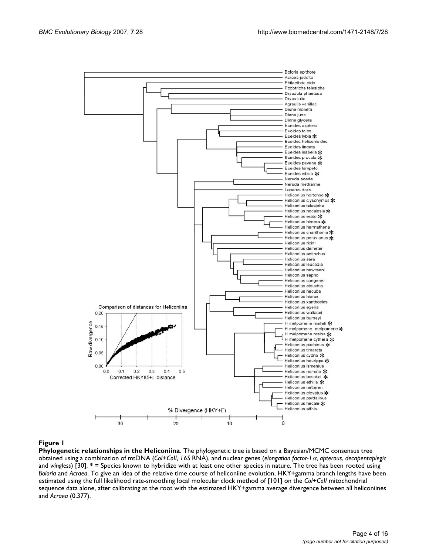

#### **Figure 1**

**Phylogenetic relationships in the Heliconiina**. The phylogenetic tree is based on a Bayesian/MCMC consensus tree obtained using a combination of mtDNA (*CoI*+*CoII*, *16S* RNA), and nuclear genes (*elongation factor-1*α, *apterous*, *decapentaplegic*  and *wingless*) [30]. **\*** = Species known to hybridize with at least one other species in nature. The tree has been rooted using *Boloria* and *Acraea*. To give an idea of the relative time course of heliconiine evolution, HKY+gamma branch lengths have been estimated using the full likelihood rate-smoothing local molecular clock method of [101] on the *CoI*+*CoII* mitochondrial sequence data alone, after calibrating at the root with the estimated HKY+gamma average divergence between all heliconiines and *Acraea* (0.377).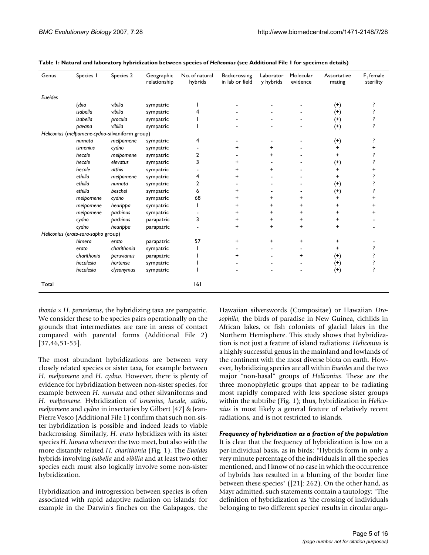| Genus                                          | Species I                           | Species 2   | Geographic<br>relationship | No. of natural<br>hybrids | Backcrossing<br>in lab or field | Laborator<br>y hybrids | Molecular<br>evidence | Assortative<br>mating | F <sub>1</sub> female<br>sterility |
|------------------------------------------------|-------------------------------------|-------------|----------------------------|---------------------------|---------------------------------|------------------------|-----------------------|-----------------------|------------------------------------|
| Eueides                                        |                                     |             |                            |                           |                                 |                        |                       |                       |                                    |
|                                                | lybia                               | vibilia     | sympatric                  |                           |                                 |                        |                       | $^{(+)}$              |                                    |
|                                                | isabella                            | vibilia     | sympatric                  |                           |                                 |                        |                       | $^{(+)}$              |                                    |
|                                                | isabella                            | procula     | sympatric                  |                           |                                 |                        |                       | $^{(+)}$              |                                    |
|                                                | pavana                              | vibilia     | sympatric                  |                           |                                 |                        |                       | $(+)$                 |                                    |
| Heliconius (melpomene-cydno-silvaniform group) |                                     |             |                            |                           |                                 |                        |                       |                       |                                    |
|                                                | numata                              | melpomene   | sympatric                  |                           |                                 |                        |                       | $^{(+)}$              |                                    |
|                                                | <i>ismenius</i>                     | cydno       | sympatric                  |                           |                                 |                        |                       | +                     |                                    |
|                                                | hecale                              | melpomene   | sympatric                  | 2                         |                                 | +                      |                       |                       |                                    |
|                                                | hecale                              | elevatus    | sympatric                  | 3                         |                                 |                        |                       | $^{(+)}$              |                                    |
|                                                | hecale                              | atthis      | sympatric                  |                           |                                 | $\ddot{}$              |                       | +                     |                                    |
|                                                | ethilla                             | melpomene   | sympatric                  | 4                         |                                 |                        |                       | +                     |                                    |
|                                                | ethilla                             | numata      | sympatric                  | 2                         |                                 |                        |                       | $^{(+)}$              |                                    |
|                                                | ethilla                             | besckei     | sympatric                  | 6                         |                                 |                        |                       | $^{(+)}$              |                                    |
|                                                | melpomene                           | cydno       | sympatric                  | 68                        |                                 | ÷                      | +                     | +                     |                                    |
|                                                | melpomene                           | heurippa    | sympatric                  |                           |                                 |                        |                       |                       |                                    |
|                                                | melpomene                           | pachinus    | sympatric                  |                           |                                 | ÷                      | +                     |                       |                                    |
|                                                | cydno                               | pachinus    | parapatric                 | 3                         |                                 | $\ddot{}$              | +                     |                       |                                    |
|                                                | cydno                               | heurippa    | parapatric                 |                           | +                               | +                      | +                     | +                     |                                    |
|                                                | Heliconius (erato-sara-sapho group) |             |                            |                           |                                 |                        |                       |                       |                                    |
|                                                | himera                              | erato       | parapatric                 | 57                        |                                 | $\ddot{}$              | +                     |                       |                                    |
|                                                | erato                               | charithonia | sympatric                  |                           |                                 |                        |                       | +                     |                                    |
|                                                | charithonia                         | peruvianus  | parapatric                 |                           |                                 |                        | +                     | $^{(+)}$              |                                    |
|                                                | hecalesia                           | hortense    | sympatric                  |                           |                                 |                        |                       | $(+)$                 |                                    |
|                                                | hecalesia                           | clysonymus  | sympatric                  |                           |                                 |                        |                       | $(+)$                 |                                    |
| Total                                          |                                     |             |                            | 6                         |                                 |                        |                       |                       |                                    |

| Table 1: Natural and laboratory hybridization between species of Heliconius (see Additional File 1 for specimen details) |  |  |  |
|--------------------------------------------------------------------------------------------------------------------------|--|--|--|
|                                                                                                                          |  |  |  |

*thonia* × *H. peruvianus*, the hybridizing taxa are parapatric. We consider these to be species pairs operationally on the grounds that intermediates are rare in areas of contact compared with parental forms (Additional File 2) [37,46,51-55].

The most abundant hybridizations are between very closely related species or sister taxa, for example between *H. melpomene* and *H. cydno*. However, there is plenty of evidence for hybridization between non-sister species, for example between *H. numata* and other silvaniforms and *H. melpomene*. Hybridization of *ismenius*, *hecale, atthis*, *melpomene* and *cydno* in insectaries by Gilbert [47] & Jean-Pierre Vesco (Additional File 1) confirm that such non-sister hybridization is possible and indeed leads to viable backcrossing. Similarly, *H. erato* hybridizes with its sister species *H. himera* wherever the two meet, but also with the more distantly related *H. charithonia* (Fig. 1). The *Eueides* hybrids involving *isabella* and *vibilia* and at least two other species each must also logically involve some non-sister hybridization.

Hybridization and introgression between species is often associated with rapid adaptive radiation on islands; for example in the Darwin's finches on the Galapagos, the Hawaiian silverswords (Compositae) or Hawaiian *Drosophila*, the birds of paradise in New Guinea, cichlids in African lakes, or fish colonists of glacial lakes in the Northern Hemisphere. This study shows that hybridization is not just a feature of island radiations: *Heliconius* is a highly successful genus in the mainland and lowlands of the continent with the most diverse biota on earth. However, hybridizing species are all within *Eueides* and the two major "non-basal" groups of *Heliconius*. These are the three monophyletic groups that appear to be radiating most rapidly compared with less speciose sister groups within the subtribe (Fig. 1); thus, hybridization in *Heliconius* is most likely a general feature of relatively recent radiations, and is not restricted to islands.

#### *Frequency of hybridization as a fraction of the population*

It is clear that the frequency of hybridization is low on a per-individual basis, as in birds: "Hybrids form in only a very minute percentage of the individuals in all the species mentioned, and I know of no case in which the occurrence of hybrids has resulted in a blurring of the border line between these species" ([21]: 262). On the other hand, as Mayr admitted, such statements contain a tautology: "The definition of hybridization as 'the crossing of individuals belonging to two different species' results in circular argu-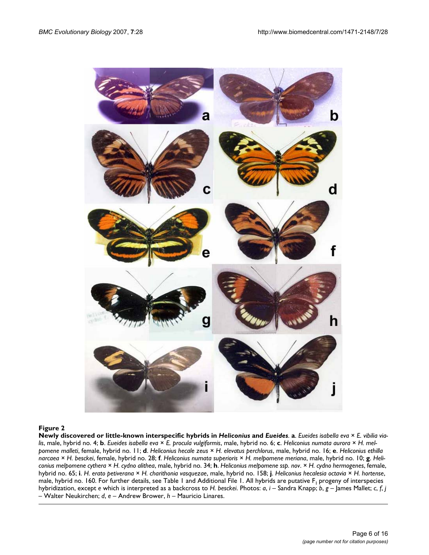

#### Figure 2

**Newly discovered or little-known interspecific hybrids in** *Heliconius* **and** *Eueides*. **a**. *Eueides isabella eva* × *E. vibilia vialis*, male, hybrid no. 4; **b**. *Eueides isabella eva* × *E. procula vulgiformis*, male, hybrid no. 6; **c**. *Heliconius numata aurora* × *H. melpomene malleti*, female, hybrid no. 11; **d**. *Heliconius hecale zeus* × *H. elevatus perchlorus*, male, hybrid no. 16; **e**. *Heliconius ethilla narcaea* × *H. besckei*, female, hybrid no. 28; **f**. *Heliconius numata superioris* × *H. melpomene meriana*, male, hybrid no. 10; **g**. *Heliconius melpomene cythera* × *H. cydno alithea*, male, hybrid no. 34; **h**. *Heliconius melpomene ssp. nov*. × *H. cydno hermogenes*, female, hybrid no. 65; **i**. *H. erato petiverana* × *H. charithonia vasquezae*, male, hybrid no. 158; **j**. *Heliconius hecalesia octavia* × *H. hortense*, male, hybrid no. 160. For further details, see Table 1 and Additional File 1. All hybrids are putative  $F_1$  progeny of interspecies hybridization, except *e* which is interpreted as a backcross to *H. besckei*. Photos: *a*, *i* – Sandra Knapp; *b*, *g* – James Mallet; *c*, *f*, *j*  – Walter Neukirchen; *d*, *e* – Andrew Brower, *h* – Mauricio Linares.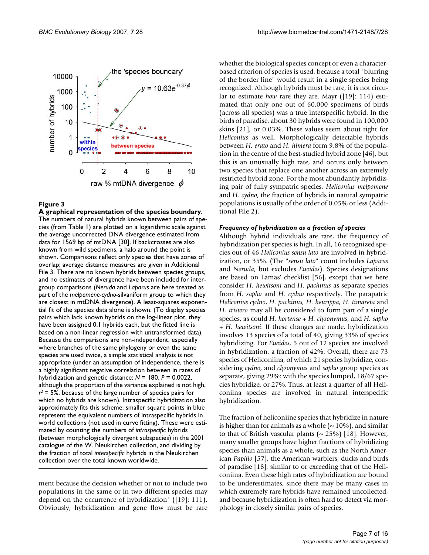

#### **Figure 3**

**A graphical representation of the species boundary**. The numbers of natural hybrids known between pairs of species (from Table 1) are plotted on a logarithmic scale against the average uncorrected DNA divergence estimated from data for 1569 bp of mtDNA [30]. If backcrosses are also known from wild specimens, a halo around the point is shown. Comparisons reflect only species that have zones of overlap; average distance measures are given in Additional File 3. There are no known hybrids between species groups, and no estimates of divergence have been included for intergroup comparisons (*Neruda* and *Laparus* are here treated as part of the *melpomene-cydno-*silvaniform group to which they are closest in mtDNA divergence). A least-squares exponential fit of the species data alone is shown. (To display species pairs which lack known hybrids on the log-linear plot, they have been assigned 0.1 hybrids each, but the fitted line is based on a non-linear regression with untransformed data). Because the comparisons are non-independent, especially where branches of the same phylogeny or even the same species are used twice, a simple statistical analysis is not appropriate (under an assumption of independence, there is a highly significant negative correlation between in rates of hybridization and genetic distance: *N* = 180, *P* = 0.0022, although the proportion of the variance explained is not high, *r*2 = 5%, because of the large number of species pairs for which no hybrids are known). Intraspecific hybridization also approximately fits this scheme; smaller square points in blue represent the equivalent numbers of intraspecific hybrids in world collections (not used in curve fitting). These were estimated by counting the numbers of *intraspecific* hybrids (between morphologically divergent subspecies) in the 2001 catalogue of the W. Neukirchen collection, and dividing by the fraction of total *interspecific* hybrids in the Neukirchen collection over the total known worldwide.

ment because the decision whether or not to include two populations in the same or in two different species may depend on the occurrence of hybridization" ([19]: 111). Obviously, hybridization and gene flow must be rare whether the biological species concept or even a characterbased criterion of species is used, because a total "blurring of the border line" would result in a single species being recognized. Although hybrids must be rare, it is not circular to estimate *how* rare they are. Mayr ([19]: 114) estimated that only one out of 60,000 specimens of birds (across all species) was a true interspecific hybrid. In the birds of paradise, about 30 hybrids were found in 100,000 skins [21], or 0.03%. These values seem about right for *Heliconius* as well. Morphologically detectable hybrids between *H. erato* and *H. himera* form 9.8% of the population in the centre of the best-studied hybrid zone [46], but this is an unusually high rate, and occurs only between two species that replace one another across an extremely restricted hybrid zone. For the most abundantly hybridizing pair of fully sympatric species, *Heliconius melpomene* and *H. cydno*, the fraction of hybrids in natural sympatric populations is usually of the order of 0.05% or less (Additional File 2).

#### *Frequency of hybridization as a fraction of species*

Although hybrid individuals are rare, the frequency of hybridization per species is high. In all, 16 recognized species out of 46 *Heliconius sensu lato* are involved in hybridization, or 35%. (The "*sensu lato*" count includes *Laparus* and *Neruda*, but excludes *Eueides*). Species designations are based on Lamas' checklist [56], except that we here consider *H. hewitsoni* and *H. pachinus* as separate species from *H. sapho* and *H. cydno* respectively. The parapatric *Heliconius cydno*, *H. pachinus, H. heurippa, H. timareta* and *H. tristero* may all be considered to form part of a single species, as could *H. hortense* + *H. clysonymus*, and *H. sapho* + *H. hewitsoni*. If these changes are made, hybridization involves 13 species of a total of 40, giving 33% of species hybridizing. For *Eueides*, 5 out of 12 species are involved in hybridization, a fraction of 42%. Overall, there are 73 species of Heliconiina, of which 21 species hybridize, considering *cydno*, and *clysonymus* and *sapho* group species as separate, giving 29%: with the species lumped, 18/67 species hybridize, or 27%. Thus, at least a quarter of all Heliconiina species are involved in natural interspecific hybridization.

The fraction of heliconiine species that hybridize in nature is higher than for animals as a whole  $({\sim 10\%})$ , and similar to that of British vascular plants ( $\sim$  25%) [18]. However, many smaller groups have higher fractions of hybridizing species than animals as a whole, such as the North American *Papilio* [57], the American warblers, ducks and birds of paradise [18], similar to or exceeding that of the Heliconiina. Even these high rates of hybridization are bound to be underestimates, since there may be many cases in which extremely rare hybrids have remained uncollected, and because hybridization is often hard to detect via morphology in closely similar pairs of species.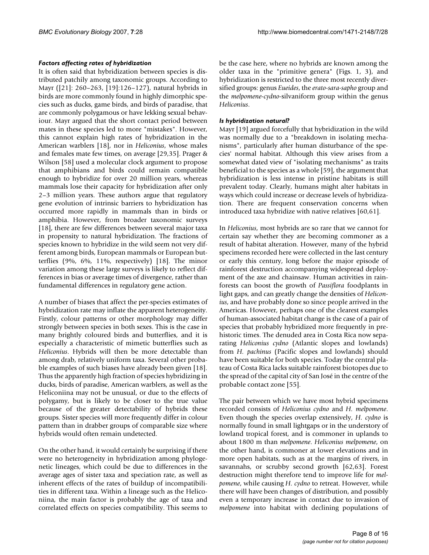#### *Factors affecting rates of hybridization*

It is often said that hybridization between species is distributed patchily among taxonomic groups. According to Mayr ([21]: 260–263, [19]:126–127), natural hybrids in birds are more commonly found in highly dimorphic species such as ducks, game birds, and birds of paradise, that are commonly polygamous or have lekking sexual behaviour. Mayr argued that the short contact period between mates in these species led to more "mistakes". However, this cannot explain high rates of hybridization in the American warblers [18], nor in *Heliconius*, whose males and females mate few times, on average [29,35]. Prager & Wilson [58] used a molecular clock argument to propose that amphibians and birds could remain compatible enough to hybridize for over 20 million years, whereas mammals lose their capacity for hybridization after only 2–3 million years. These authors argue that regulatory gene evolution of intrinsic barriers to hybridization has occurred more rapidly in mammals than in birds or amphibia. However, from broader taxonomic surveys [18], there are few differences between several major taxa in propensity to natural hybridization. The fractions of species known to hybridize in the wild seem not very different among birds, European mammals or European butterflies (9%, 6%, 11%, respectively) [18]. The minor variation among these large surveys is likely to reflect differences in bias or average times of divergence, rather than fundamental differences in regulatory gene action.

A number of biases that affect the per-species estimates of hybridization rate may inflate the apparent heterogeneity. Firstly, colour patterns or other morphology may differ strongly between species in both sexes. This is the case in many brightly coloured birds and butterflies, and it is especially a characteristic of mimetic butterflies such as *Heliconius*. Hybrids will then be more detectable than among drab, relatively uniform taxa. Several other probable examples of such biases have already been given [18]. Thus the apparently high fraction of species hybridizing in ducks, birds of paradise, American warblers, as well as the Heliconiina may not be unusual, or due to the effects of polygamy, but is likely to be closer to the true value because of the greater detectability of hybrids these groups. Sister species will more frequently differ in colour pattern than in drabber groups of comparable size where hybrids would often remain undetected.

On the other hand, it would certainly be surprising if there were no heterogeneity in hybridization among phylogenetic lineages, which could be due to differences in the average ages of sister taxa and speciation rate, as well as inherent effects of the rates of buildup of incompatibilities in different taxa. Within a lineage such as the Heliconiina, the main factor is probably the age of taxa and correlated effects on species compatibility. This seems to

be the case here, where no hybrids are known among the older taxa in the "primitive genera" (Figs. 1, 3), and hybridization is restricted to the three most recently diversified groups: genus *Eueides*, the *erato-sara-sapho* group and the *melpomene-cydno-*silvaniform group within the genus *Heliconius*.

### *Is hybridization natural?*

Mayr [19] argued forcefully that hybridization in the wild was normally due to a "breakdown in isolating mechanisms", particularly after human disturbance of the species' normal habitat. Although this view arises from a somewhat dated view of "isolating mechanisms" as traits beneficial to the species as a whole [59], the argument that hybridization is less intense in pristine habitats is still prevalent today. Clearly, humans might alter habitats in ways which could increase or decrease levels of hybridization. There are frequent conservation concerns when introduced taxa hybridize with native relatives [60,61].

In *Heliconius*, most hybrids are so rare that we cannot for certain say whether they are becoming commoner as a result of habitat alteration. However, many of the hybrid specimens recorded here were collected in the last century or early this century, long before the major episode of rainforest destruction accompanying widespread deployment of the axe and chainsaw. Human activities in rainforests can boost the growth of *Passiflora* foodplants in light gaps, and can greatly change the densities of *Heliconius*, and have probably done so since people arrived in the Americas. However, perhaps one of the clearest examples of human-associated habitat change is the case of a pair of species that probably hybridized more frequently in prehistoric times. The denuded area in Costa Rica now separating *Heliconius cydno* (Atlantic slopes and lowlands) from *H. pachinus* (Pacific slopes and lowlands) should have been suitable for both species. Today the central plateau of Costa Rica lacks suitable rainforest biotopes due to the spread of the capital city of San José in the centre of the probable contact zone [55].

The pair between which we have most hybrid specimens recorded consists of *Heliconius cydno* and *H. melpomene*. Even though the species overlap extensively, *H. cydno* is normally found in small lightgaps or in the understory of lowland tropical forest, and is commoner in uplands to about 1800 m than *melpomene*. *Heliconius melpomene*, on the other hand, is commoner at lower elevations and in more open habitats, such as at the margins of rivers, in savannahs, or scrubby second growth [62,63]. Forest destruction might therefore tend to improve life for *melpomene*, while causing *H. cydno* to retreat. However, while there will have been changes of distribution, and possibly even a temporary increase in contact due to invasion of *melpomene* into habitat with declining populations of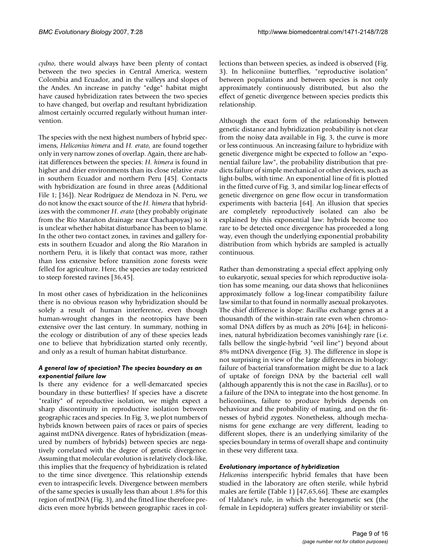*cydno*, there would always have been plenty of contact between the two species in Central America, western Colombia and Ecuador, and in the valleys and slopes of the Andes. An increase in patchy "edge" habitat might have caused hybridization rates between the two species to have changed, but overlap and resultant hybridization almost certainly occurred regularly without human intervention.

The species with the next highest numbers of hybrid specimens, *Heliconius himera* and *H. erato*, are found together only in very narrow zones of overlap. Again, there are habitat differences between the species: *H. himera* is found in higher and drier environments than its close relative *erato* in southern Ecuador and northern Peru [45]. Contacts with hybridization are found in three areas (Additional File 1; [36]). Near Rodríguez de Mendoza in N. Peru, we do not know the exact source of the *H. himera* that hybridizes with the commoner *H. erato* (they probably originate from the Río Marañon drainage near Chachapoyas) so it is unclear whether habitat disturbance has been to blame. In the other two contact zones, in ravines and gallery forests in southern Ecuador and along the Río Marañon in northern Peru, it is likely that contact was more, rather than less extensive before transition zone forests were felled for agriculture. Here, the species are today restricted to steep forested ravines [36,45].

In most other cases of hybridization in the heliconiines there is no obvious reason why hybridization should be solely a result of human interference, even though human-wrought changes in the neotropics have been extensive over the last century. In summary, nothing in the ecology or distribution of any of these species leads one to believe that hybridization started only recently, and only as a result of human habitat disturbance.

#### *A general law of speciation? The species boundary as an exponential failure law*

Is there any evidence for a well-demarcated species boundary in these butterflies? If species have a discrete "reality" of reproductive isolation, we might expect a sharp discontinuity in reproductive isolation between geographic races and species. In Fig. 3, we plot numbers of hybrids known between pairs of races or pairs of species against mtDNA divergence. Rates of hybridization (measured by numbers of hybrids) between species are negatively correlated with the degree of genetic divergence. Assuming that molecular evolution is relatively clock-like, this implies that the frequency of hybridization is related to the time since divergence. This relationship extends even to intraspecific levels. Divergence between members of the same species is usually less than about 1.8% for this region of mtDNA (Fig. 3), and the fitted line therefore predicts even more hybrids between geographic races in collections than between species, as indeed is observed (Fig. 3). In heliconiine butterflies, "reproductive isolation" between populations and between species is not only approximately continuously distributed, but also the effect of genetic divergence between species predicts this relationship.

Although the exact form of the relationship between genetic distance and hybridization probability is not clear from the noisy data available in Fig. 3, the curve is more or less continuous. An increasing failure to hybridize with genetic divergence might be expected to follow an "exponential failure law", the probability distribution that predicts failure of simple mechanical or other devices, such as light-bulbs, with time. An exponential line of fit is plotted in the fitted curve of Fig. 3, and similar log-linear effects of genetic divergence on gene flow occur in transformation experiments with bacteria [64]. An illusion that species are completely reproductively isolated can also be explained by this exponential law: hybrids become too rare to be detected once divergence has proceeded a long way, even though the underlying exponential probability distribution from which hybrids are sampled is actually continuous.

Rather than demonstrating a special effect applying only to eukaryotic, sexual species for which reproductive isolation has some meaning, our data shows that heliconiines approximately follow a log-linear compatibility failure law similar to that found in normally asexual prokaryotes. The chief difference is slope: *Bacillus* exchange genes at a thousandth of the within-strain rate even when chromosomal DNA differs by as much as 20% [64]; in heliconiines, natural hybridization becomes vanishingly rare (i.e. falls bellow the single-hybrid "veil line") beyond about 8% mtDNA divergence (Fig. 3). The difference in slope is not surprising in view of the large differences in biology: failure of bacterial transformation might be due to a lack of uptake of foreign DNA by the bacterial cell wall (although apparently this is not the case in *Bacillus*), or to a failure of the DNA to integrate into the host genome. In heliconiines, failure to produce hybrids depends on behaviour and the probability of mating, and on the fitnesses of hybrid zygotes. Nonetheless, although mechanisms for gene exchange are very different, leading to different slopes, there is an underlying similarity of the species boundary in terms of overall shape and continuity in these very different taxa.

#### *Evolutionary importance of hybridization*

*Heliconius* interspecific hybrid females that have been studied in the laboratory are often sterile, while hybrid males are fertile (Table 1) [47,65,66]. These are examples of Haldane's rule, in which the heterogametic sex (the female in Lepidoptera) suffers greater inviability or steril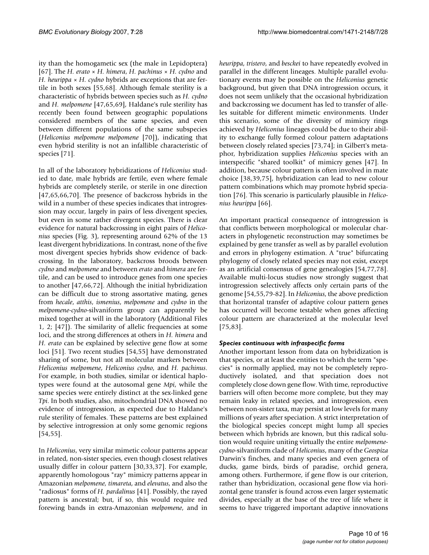ity than the homogametic sex (the male in Lepidoptera) [67]. The *H. erato* × *H. himera*, *H. pachinus* × *H. cydno* and *H. heurippa* × *H. cydno* hybrids are exceptions that are fertile in both sexes [55,68]. Although female sterility is a characteristic of hybrids between species such as *H. cydno* and *H. melpomene* [47,65,69], Haldane's rule sterility has recently been found between geographic populations considered members of the same species, and even between different populations of the same subspecies (*Heliconius melpomene melpomene* [70]), indicating that even hybrid sterility is not an infallible characteristic of species [71].

In all of the laboratory hybridizations of *Heliconius* studied to date, male hybrids are fertile, even where female hybrids are completely sterile, or sterile in one direction [47,65,66,70]. The presence of backcross hybrids in the wild in a number of these species indicates that introgression may occur, largely in pairs of less divergent species, but even in some rather divergent species. There is clear evidence for natural backcrossing in eight pairs of *Heliconius* species (Fig. 3), representing around 62% of the 13 least divergent hybridizations. In contrast, none of the five most divergent species hybrids show evidence of backcrossing. In the laboratory, backcross broods between *cydno* and *melpomene* and between *erato* and *himera* are fertile, and can be used to introduce genes from one species to another [47,66,72]. Although the initial hybridization can be difficult due to strong assortative mating, genes from *hecale*, *atthis*, *ismenius*, *melpomene* and *cydno* in the *melpomene-cydno-*silvaniform group can apparently be mixed together at will in the laboratory (Additional Files 1, 2; [47]). The similarity of allelic frequencies at some loci, and the strong differences at others in *H. himera* and *H. erato* can be explained by selective gene flow at some loci [51]. Two recent studies [54,55] have demonstrated sharing of some, but not all molecular markers between *Heliconius melpomene*, *Heliconius cydno*, and *H. pachinus*. For example, in both studies, similar or identical haplotypes were found at the autosomal gene *Mpi*, while the same species were entirely distinct at the sex-linked gene *Tpi*. In both studies, also, mitochondrial DNA showed no evidence of introgression, as expected due to Haldane's rule sterility of females. These patterns are best explained by selective introgression at only some genomic regions [54,55].

In *Heliconius*, very similar mimetic colour patterns appear in related, non-sister species, even though closest relatives usually differ in colour pattern [30,33,37]. For example, apparently homologous "ray" mimicry patterns appear in Amazonian *melpomene, timareta*, and *elevatus*, and also the "radiosus" forms of *H. pardalinus* [41]. Possibly, the rayed pattern is ancestral; but, if so, this would require red forewing bands in extra-Amazonian *melpomene*, and in

*heurippa*, *tristero*, and *besckei* to have repeatedly evolved in parallel in the different lineages. Multiple parallel evolutionary events may be possible on the *Heliconius* genetic background, but given that DNA introgression occurs, it does not seem unlikely that the occasional hybridization and backcrossing we document has led to transfer of alleles suitable for different mimetic environments. Under this scenario, some of the diversity of mimicry rings achieved by *Heliconius* lineages could be due to their ability to exchange fully formed colour pattern adaptations between closely related species [73,74]; in Gilbert's metaphor, hybridization supplies *Heliconius* species with an interspecific "shared toolkit" of mimicry genes [47]. In addition, because colour pattern is often involved in mate choice [38,39,75], hybridization can lead to new colour pattern combinations which may promote hybrid speciation [76]. This scenario is particularly plausible in *Heliconius heurippa* [66].

An important practical consequence of introgression is that conflicts between morphological or molecular characters in phylogenetic reconstruction may sometimes be explained by gene transfer as well as by parallel evolution and errors in phylogeny estimation. A "true" bifurcating phylogeny of closely related species may not exist, except as an artificial consensus of gene genealogies [54,77,78]. Available multi-locus studies now strongly suggest that introgression selectively affects only certain parts of the genome [54,55,79-82]. In *Heliconius*, the above prediction that horizontal transfer of adaptive colour pattern genes has occurred will become testable when genes affecting colour pattern are characterized at the molecular level [75,83].

#### *Species continuous with infraspecific forms*

Another important lesson from data on hybridization is that species, or at least the entities to which the term "species" is normally applied, may not be completely reproductively isolated, and that speciation does not completely close down gene flow. With time, reproductive barriers will often become more complete, but they may remain leaky in related species, and introgression, even between non-sister taxa, may persist at low levels for many millions of years after speciation. A strict interpretation of the biological species concept might lump all species between which hybrids are known, but this radical solution would require uniting virtually the entire *melpomenecydno-*silvaniform clade of *Heliconius*, many of the *Geospiza* Darwin's finches, and many species and even genera of ducks, game birds, birds of paradise, orchid genera, among others. Furthermore, if gene flow is our criterion, rather than hybridization, occasional gene flow via horizontal gene transfer is found across even larger systematic divides, especially at the base of the tree of life where it seems to have triggered important adaptive innovations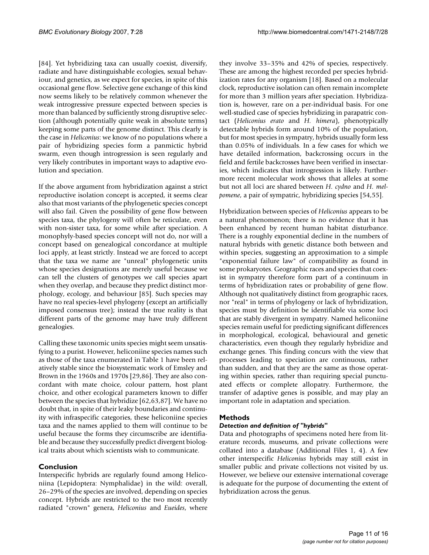[84]. Yet hybridizing taxa can usually coexist, diversify, radiate and have distinguishable ecologies, sexual behaviour, and genetics, as we expect for species, in spite of this occasional gene flow. Selective gene exchange of this kind now seems likely to be relatively common whenever the weak introgressive pressure expected between species is more than balanced by sufficiently strong disruptive selection (although potentially quite weak in absolute terms) keeping some parts of the genome distinct. This clearly is the case in *Heliconius*: we know of no populations where a pair of hybridizing species form a panmictic hybrid swarm, even though introgression is seen regularly and very likely contributes in important ways to adaptive evolution and speciation.

If the above argument from hybridization against a strict reproductive isolation concept is accepted, it seems clear also that most variants of the phylogenetic species concept will also fail. Given the possibility of gene flow between species taxa, the phylogeny will often be reticulate, even with non-sister taxa, for some while after speciation. A monophyly-based species concept will not do, nor will a concept based on genealogical concordance at multiple loci apply, at least strictly. Instead we are forced to accept that the taxa we name are "unreal" phylogenetic units whose species designations are merely useful because we can tell the clusters of genotypes we call species apart when they overlap, and because they predict distinct morphology, ecology, and behaviour [85]. Such species may have no real species-level phylogeny (except an artificially imposed consensus tree); instead the true reality is that different parts of the genome may have truly different genealogies.

Calling these taxonomic units species might seem unsatisfying to a purist. However, heliconiine species names such as those of the taxa enumerated in Table 1 have been relatively stable since the biosystematic work of Emsley and Brown in the 1960s and 1970s [29,86]. They are also concordant with mate choice, colour pattern, host plant choice, and other ecological parameters known to differ between the species that hybridize [62,63,87]. We have no doubt that, in spite of their leaky boundaries and continuity with infraspecific categories, these heliconiine species taxa and the names applied to them will continue to be useful because the forms they circumscribe are identifiable and because they successfully predict divergent biological traits about which scientists wish to communicate.

# **Conclusion**

Interspecific hybrids are regularly found among Heliconiina (Lepidoptera: Nymphalidae) in the wild: overall, 26–29% of the species are involved, depending on species concept. Hybrids are restricted to the two most recently radiated "crown" genera, *Heliconius* and *Eueides*, where they involve 33–35% and 42% of species, respectively. These are among the highest recorded per species hybridization rates for any organism [18]. Based on a molecular clock, reproductive isolation can often remain incomplete for more than 3 million years after speciation. Hybridization is, however, rare on a per-individual basis. For one well-studied case of species hybridizing in parapatric contact (*Heliconius erato* and *H. himera*), phenotypically detectable hybrids form around 10% of the population, but for most species in sympatry, hybrids usually form less than 0.05% of individuals. In a few cases for which we have detailed information, backcrossing occurs in the field and fertile backcrosses have been verified in insectaries, which indicates that introgression is likely. Furthermore recent molecular work shows that alleles at some but not all loci are shared between *H. cydno* and *H. melpomene*, a pair of sympatric, hybridizing species [54,55].

Hybridization between species of *Heliconius* appears to be a natural phenomenon; there is no evidence that it has been enhanced by recent human habitat disturbance. There is a roughly exponential decline in the numbers of natural hybrids with genetic distance both between and within species, suggesting an approximation to a simple "exponential failure law" of compatibility as found in some prokaryotes. Geographic races and species that coexist in sympatry therefore form part of a continuum in terms of hybridization rates or probability of gene flow. Although not qualitatively distinct from geographic races, nor "real" in terms of phylogeny or lack of hybridization, species must by definition be identifiable via some loci that are stably divergent in sympatry. Named heliconiine species remain useful for predicting significant differences in morphological, ecological, behavioural and genetic characteristics, even though they regularly hybridize and exchange genes. This finding concurs with the view that processes leading to speciation are continuous, rather than sudden, and that they are the same as those operating within species, rather than requiring special punctuated effects or complete allopatry. Furthermore, the transfer of adaptive genes is possible, and may play an important role in adaptation and speciation.

# **Methods**

#### *Detection and definition of "hybrids"*

Data and photographs of specimens noted here from literature records, museums, and private collections were collated into a database (Additional Files 1, 4). A few other interspecific *Heliconius* hybrids may still exist in smaller public and private collections not visited by us. However, we believe our extensive international coverage is adequate for the purpose of documenting the extent of hybridization across the genus.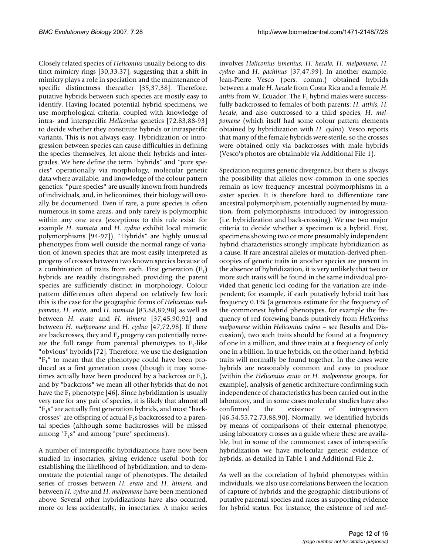Closely related species of *Heliconius* usually belong to distinct mimicry rings [30,33,37], suggesting that a shift in mimicry plays a role in speciation and the maintenance of specific distinctness thereafter [35,37,38]. Therefore, putative hybrids between such species are mostly easy to identify. Having located potential hybrid specimens, we use morphological criteria, coupled with knowledge of intra- and interspecific *Heliconius* genetics [72,83,88-93] to decide whether they constitute hybrids or intraspecific variants. This is not always easy. Hybridization or introgression between species can cause difficulties in defining the species themselves, let alone their hybrids and intergrades. We here define the term "hybrids" and "pure species" operationally via morphology, molecular genetic data where available, and knowledge of the colour pattern genetics: "pure species" are usually known from hundreds of individuals, and, in heliconiines, their biology will usually be documented. Even if rare, a pure species is often numerous in some areas, and only rarely is polymorphic within any one area (exceptions to this rule exist: for example *H. numata* and *H. cydno* exhibit local mimetic polymorphisms [94-97]). "Hybrids" are highly unusual phenotypes from well outside the normal range of variation of known species that are most easily interpreted as progeny of crosses between two known species because of a combination of traits from each. First generation  $(F_1)$ hybrids are readily distinguished providing the parent species are sufficiently distinct in morphology. Colour pattern differences often depend on relatively few loci: this is the case for the geographic forms of *Heliconius melpomene*, *H. erato*, and *H. numata* [83,88,89,98] as well as between *H. erato* and *H. himera* [37,45,90,92] and between *H. melpomene* and *H. cydno* [47,72,98]. If there are backcrosses, they and  $F_2$  progeny can potentially recreate the full range from parental phenotypes to  $F_1$ -like "obvious" hybrids [72]. Therefore, we use the designation  $F_1$ " to mean that the phenotype could have been produced as a first generation cross (though it may sometimes actually have been produced by a backcross or  $F_2$ ), and by "backcross" we mean all other hybrids that do not have the  $F_1$  phenotype [46]. Since hybridization is usually very rare for any pair of species, it is likely that almost all  $F_1s$ " are actually first generation hybrids, and most "backcrosses" are offspring of actual  $F_1$ s backcrossed to a parental species (although some backcrosses will be missed among " $F_1s$ " and among "pure" specimens).

A number of interspecific hybridizations have now been studied in insectaries, giving evidence useful both for establishing the likelihood of hybridization, and to demonstrate the potential range of phenotypes. The detailed series of crosses between *H. erato* and *H. himera*, and between *H. cydno* and *H. melpomene* have been mentioned above. Several other hybridizations have also occurred, more or less accidentally, in insectaries. A major series

involves *Heliconius ismenius, H. hecale, H. melpomene*, *H. cydno* and *H. pachinus* [37,47,99]. In another example, Jean-Pierre Vesco (pers. comm.) obtained hybrids between a male *H. hecale* from Costa Rica and a female *H. atthis* from W. Ecuador. The  $F_1$  hybrid males were successfully backcrossed to females of both parents: *H. atthis*, *H. hecale*, and also outcrossed to a third species, *H. melpomene* (which itself had some colour pattern elements obtained by hybridization with *H. cydno*). Vesco reports that many of the female hybrids were sterile, so the crosses were obtained only via backcrosses with male hybrids (Vesco's photos are obtainable via Additional File 1).

Speciation requires genetic divergence, but there is always the possibility that alleles now common in one species remain as low frequency ancestral polymorphisms in a sister species. It is therefore hard to differentiate rare ancestral polymorphism, potentially augmented by mutation, from polymorphisms introduced by introgression (i.e. hybridization and back-crossing). We use two major criteria to decide whether a specimen is a hybrid. First, specimens showing two or more presumably independent hybrid characteristics strongly implicate hybridization as a cause. If rare ancestral alleles or mutation-derived phenocopies of genetic traits in another species are present in the absence of hybridization, it is very unlikely that two or more such traits will be found in the same individual provided that genetic loci coding for the variation are independent; for example, if each putatively hybrid trait has frequency 0.1% (a generous estimate for the frequency of the commonest hybrid phenotypes, for example the frequency of red forewing bands putatively from *Heliconius melpomene* within *Heliconius cydno* – see Results and Discussion), two such traits should be found at a frequency of one in a million, and three traits at a frequency of only one in a billion. In true hybrids, on the other hand, hybrid traits will normally be found together. In the cases were hybrids are reasonably common and easy to produce (within the *Heliconius erato* or *H. melpomene* groups, for example), analysis of genetic architecture confirming such independence of characteristics has been carried out in the laboratory, and in some cases molecular studies have also confirmed the existence of introgression [46,54,55,72,73,88,90]. Normally, we identified hybrids by means of comparisons of their external phenotype, using laboratory crosses as a guide where these are available, but in some of the commonest cases of interspecific hybridization we have molecular genetic evidence of hybrids, as detailed in Table 1 and Additional File 2.

As well as the correlation of hybrid phenotypes within individuals, we also use correlations between the location of capture of hybrids and the geographic distributions of putative parental species and races as supporting evidence for hybrid status. For instance, the existence of red *mel-*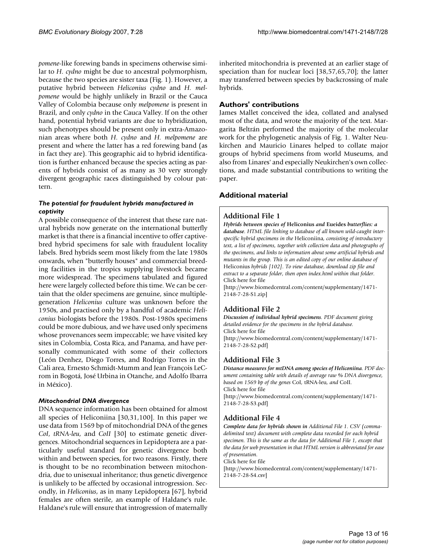*pomene*-like forewing bands in specimens otherwise similar to *H. cydno* might be due to ancestral polymorphism, because the two species are sister taxa (Fig. 1). However, a putative hybrid between *Heliconius cydno* and *H. melpomene* would be highly unlikely in Brazil or the Cauca Valley of Colombia because only *melpomene* is present in Brazil, and only *cydno* in the Cauca Valley. If on the other hand, potential hybrid variants are due to hybridization, such phenotypes should be present only in extra-Amazonian areas where both *H. cydno* and *H. melpomene* are present and where the latter has a red forewing band (as in fact they are). This geographic aid to hybrid identification is further enhanced because the species acting as parents of hybrids consist of as many as 30 very strongly divergent geographic races distinguished by colour pattern.

#### *The potential for fraudulent hybrids manufactured in captivity*

A possible consequence of the interest that these rare natural hybrids now generate on the international butterfly market is that there is a financial incentive to offer captivebred hybrid specimens for sale with fraudulent locality labels. Bred hybrids seem most likely from the late 1980s onwards, when "butterfly houses" and commercial breeding facilities in the tropics supplying livestock became more widespread. The specimens tabulated and figured here were largely collected before this time. We can be certain that the older specimens are genuine, since multiplegeneration *Heliconius* culture was unknown before the 1950s, and practised only by a handful of academic *Heliconius* biologists before the 1980s. Post-1980s specimens could be more dubious, and we have used only specimens whose provenances seem impeccable; we have visited key sites in Colombia, Costa Rica, and Panama, and have personally communicated with some of their collectors (León Denhez, Diego Torres, and Rodrigo Torres in the Cali area, Ernesto Schmidt-Mumm and Jean François LeCrom in Bogotá, José Urbina in Otanche, and Adolfo Ibarra in México).

#### *Mitochondrial DNA divergence*

DNA sequence information has been obtained for almost all species of Heliconiina [30,31,100]. In this paper we use data from 1569 bp of mitochondrial DNA of the genes *CoI*, *tRNA-leu*, and *CoII* [30] to estimate genetic divergences. Mitochondrial sequences in Lepidoptera are a particularly useful standard for genetic divergence both within and between species, for two reasons. Firstly, there is thought to be no recombination between mitochondria, due to unisexual inheritance; thus genetic divergence is unlikely to be affected by occasional introgression. Secondly, in *Heliconius*, as in many Lepidoptera [67], hybrid females are often sterile, an example of Haldane's rule. Haldane's rule will ensure that introgression of maternally inherited mitochondria is prevented at an earlier stage of speciation than for nuclear loci [38,57,65,70]; the latter may transferred between species by backcrossing of male hybrids.

### **Authors' contributions**

James Mallet conceived the idea, collated and analysed most of the data, and wrote the majority of the text. Margarita Beltrán performed the majority of the molecular work for the phylogenetic analysis of Fig. 1. Walter Neukirchen and Mauricio Linares helped to collate major groups of hybrid specimens from world Museums, and also from Linares' and especially Neukirchen's own collections, and made substantial contributions to writing the paper.

# **Additional material**

# **Additional File 1**

*Hybrids between species of* **Heliconius** *and* **Eueides** *butterflies: a database. HTML file linking to database of all known wild-caught interspecific hybrid specimens in the* Heliconiina*, consisting of introductory text, a list of specimens, together with collection data and photographs of the specimens, and links to information about some artificial hybrids and mutants in the group. This is an edited copy of our online database of*  Heliconius *hybrids [102]. To view database, download zip file and extract to a separate folder, then open index.html within that folder.* Click here for file

[\[http://www.biomedcentral.com/content/supplementary/1471-](http://www.biomedcentral.com/content/supplementary/1471-2148-7-28-S1.zip) 2148-7-28-S1.zip]

# **Additional File 2**

*Discussion of individual hybrid specimens. PDF document giving detailed evidence for the specimens in the hybrid database.* Click here for file [\[http://www.biomedcentral.com/content/supplementary/1471-](http://www.biomedcentral.com/content/supplementary/1471-2148-7-28-S2.pdf) 2148-7-28-S2.pdf]

# **Additional File 3**

*Distance measures for mtDNA among species of Heliconiina. PDF document containing table with details of average raw % DNA divergence, based on 1569 bp of the genes* CoI*,* tRNA-leu*, and* CoII*.* Click here for file

[\[http://www.biomedcentral.com/content/supplementary/1471-](http://www.biomedcentral.com/content/supplementary/1471-2148-7-28-S3.pdf) 2148-7-28-S3.pdf]

# **Additional File 4**

*Complete data for hybrids shown in Additional File 1. CSV (commadelimited text) document with complete data recorded for each hybrid specimen. This is the same as the data for Additional File 1, except that the data for web presentation in that HTML version is abbreviated for ease of presentation.*

Click here for file

[\[http://www.biomedcentral.com/content/supplementary/1471-](http://www.biomedcentral.com/content/supplementary/1471-2148-7-28-S4.csv) 2148-7-28-S4.csv]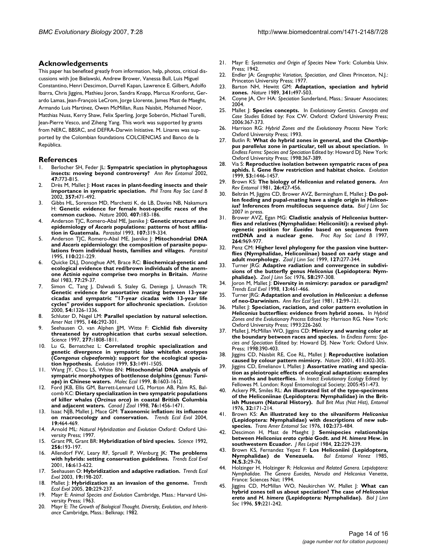#### **Acknowledgements**

This paper has benefited greatly from information, help, photos, critical discussions with Joe Bielawski, Andrew Brower, Vanessa Bull, Luis Miguel Constantino, Henri Descimon, Durrell Kapan, Lawrence E. Gilbert, Adolfo Ibarra, Chris Jiggins, Mathieu Joron, Sandra Knapp, Marcus Kronforst, Gerardo Lamas, Jean-François LeCrom, Jorge Llorente, James Mast de Maeght, Armando Luis Martínez, Owen McMillan, Russ Naisbit, Mohamed Noor, Matthias Nuss, Kerry Shaw, Felix Sperling, Jorge Soberón, Michael Turelli, Jean-Pierre Vesco, and Ziheng Yang. This work was supported by grants from NERC, BBSRC, and DEFRA-Darwin Initiative. M. Linares was supported by the Colombian foundations COLCIENCIAS and Banco de la República.

#### **References**

- 1. Berlocher SH, Feder JL: **Sympatric speciation in phytophagous insects: moving beyond controversy?** *Ann Rev Entomol* 2002, **47:**773-815.
- 2. Drès M, Mallet J: **Host races in plant-feeding insects and their importance in sympatric speciation.** *Phil Trans Roy Soc Lond B* 2002, **357:**471-492.
- 3. Gibbs HL, Sorenson MD, Marchetti K, de LB, Davies NB, Nakamura H: **[Genetic evidence for female host-specific races of the](http://www.ncbi.nlm.nih.gov/entrez/query.fcgi?cmd=Retrieve&db=PubMed&dopt=Abstract&list_uids=11001055) [common cuckoo.](http://www.ncbi.nlm.nih.gov/entrez/query.fcgi?cmd=Retrieve&db=PubMed&dopt=Abstract&list_uids=11001055)** *Nature* 2000, **407:**183-186.
- 4. Anderson TJC, Romero-Abal ME, Jaenike J: **Genetic structure and epidemiology of** *Ascaris* **populations: patterns of host affiliation in Guatemala.** *Parasitol* 1993, **107:**319-334.
- 5. Anderson TJC, Romero-Abal ME, Jaenike J: **Mitochondrial DNA and** *Ascaris* **epidemiology: the composition of parasite populations from individual hosts, families and villages.** *Parasitol* 1995, **110:**221-229.
- 6. Quicke DLJ, Donoghue AM, Brace RC: **Biochemical-genetic and ecological evidence that red/brown individuals of the anemone** *Actinia equina* **comprise two morphs in Britain.** *Marine Biol* 1983, **77:**29-37.
- 7. Simon C, Tang J, Dalwadi S, Staley G, Deniega J, Unnasch TR: **Genetic evidence for assortative mating between 13-year [cicadas and sympatric "17-year cicadas with 13-year life](http://www.ncbi.nlm.nih.gov/entrez/query.fcgi?cmd=Retrieve&db=PubMed&dopt=Abstract&list_uids=11005299) [cycles" provides support for allochronic speciation.](http://www.ncbi.nlm.nih.gov/entrez/query.fcgi?cmd=Retrieve&db=PubMed&dopt=Abstract&list_uids=11005299)** *Evolution* 2000, **54:**1326-1336.
- Schluter D, Nagel LM: Parallel speciation by natural selection. *Amer Nat* 1995, **146:**292-301.
- 9. Seehausen O, van Alphen JJM, Witte F: **Cichlid fish diversity threatened by eutrophication that curbs sexual selection.** *Science* 1997, **277:**1808-1811.
- 10. Lu G, Bernatchez L: **Correlated trophic specialization and genetic divergence in sympatric lake whitefish ecotypes (***Coregonus clupeaformis***): support for the ecological speciation hypothesis.** *Evolution* 1999, **53:**1491-1505.
- 11. Wang JY, Chou LS, White BN: **Mitochondrial DNA analysis of sympatric morphotypes of bottlenose dolphins (genus:** *Tursiops***) in Chinese waters.** *Molec Ecol* 1999, **8:**1603-1612.
- 12. Ford JKB, Ellis GM, Barrett-Lennard LG, Morton AB, Palm RS, Balcomb KC: **Dietary specialization in two sympatric populations of killer whales (***Orcinus orca***) in coastal British Columbia and adjacent waters.** *Canad J Zool* 1998, **76:**1456-1471.
- 13. Isaac NJB, Mallet J, Mace GM: **[Taxonomic inflation: its influence](http://www.ncbi.nlm.nih.gov/entrez/query.fcgi?cmd=Retrieve&db=PubMed&dopt=Abstract&list_uids=16701308) [on macroecology and conservation.](http://www.ncbi.nlm.nih.gov/entrez/query.fcgi?cmd=Retrieve&db=PubMed&dopt=Abstract&list_uids=16701308)** *Trends Ecol Evol* 2004, **19:**464-469.
- 14. Arnold ML: *Natural Hybridization and Evolution* Oxford: Oxford University Press; 1997.
- 15. Grant PR, Grant BR: **Hybridization of bird species.** *Science* 1992, **256:**193-197.
- 16. Allendorf FW, Leary RF, Spruell P, Wenburg JK: **The problems with hybrids: setting conservation guidelines.** *Trends Ecol Evol* 2001, **16:**613-622.
- 17. Seehausen O: **Hybridization and adaptive radiation.** *Trends Ecol Evol* 2003, **19:**198-207.
- 18. Mallet J: **[Hybridization as an invasion of the genome.](http://www.ncbi.nlm.nih.gov/entrez/query.fcgi?cmd=Retrieve&db=PubMed&dopt=Abstract&list_uids=16701374)** *Trends Ecol Evol* 2005, **20:**229-237.
- 19. Mayr E: *Animal Species and Evolution* Cambridge, Mass.: Harvard University Press; 1963.
- 20. Mayr E: *The Growth of Biological Thought. Diversity, Evolution, and Inheritance* Cambridge, Mass.: Belknap; 1982.
- 21. Mayr E: *Systematics and Origin of Species* New York: Columbia Univ. Press; 1942.
- 22. Endler JA: *Geographic Variation, Speciation, and Clines* Princeton, N.J.: Princeton University Press; 1977.
- 23. Barton NH, Hewitt GM: **[Adaptation, speciation and hybrid](http://www.ncbi.nlm.nih.gov/entrez/query.fcgi?cmd=Retrieve&db=PubMed&dopt=Abstract&list_uids=2677747) [zones.](http://www.ncbi.nlm.nih.gov/entrez/query.fcgi?cmd=Retrieve&db=PubMed&dopt=Abstract&list_uids=2677747)** *Nature* 1989, **341:**497-503.
- 24. Coyne JA, Orr HA: *Speciation* Sunderland, Mass.: Sinauer Associates; 2004.
- 25. Mallet J: **Species concepts.** In *Evolutionary Genetics. Concepts and Case Studies* Edited by: Fox CW. Oxford: Oxford University Press; 2006:367-373.
- 26. Harrison RG: *Hybrid Zones and the Evolutionary Process* New York: Oxford University Press; 1993.
- 27. Butlin R: **What do hybrid zones in general, and the** *Chorthippus parallelus* **zone in particular, tell us about speciation.** In *Endless Forms: Species and Speciation* Edited by: Howard DJ. New York: Oxford University Press; 1998:367-389.
- 28. Via S: **Reproductive isolation between sympatric races of pea aphids. I. Gene flow restriction and habitat choice.** *Evolution* 1999, **53:**1446-1457.
- 29. Brown KS: **The biology of** *Heliconius* **and related genera.** *Ann Rev Entomol* 1981, **26:**427-456.
- Beltrán M, Jiggins CD, Brower AVZ, Bermingham E, Mallet J: Do pol**len feeding and pupal-mating have a single origin in** *Heliconius***? Inferences from multilocus sequence data.** *Biol J Linn Soc* 2007 in press.
- 31. Brower AVZ, Egan MG: **Cladistic analysis of** *Heliconius* **butterflies and relatives (Nymphalidae: Heliconiiti): a revised phylogenetic position for** *Eueides* **based on sequences from mtDNA and a nuclear gene.** *Proc Roy Soc Lond B* 1997, **264:**969-977.
- 32. Penz CM: **Higher level phylogeny for the passion vine butterflies (Nymphalidae, Heliconiinae) based on early stage and adult morphology.** *Zool J Linn Soc* 1999, **127:**277-344.
- 33. Turner JRG: **Adaptive radiation and convergence in subdivisions of the butterfly genus** *Heliconius* **(Lepidoptera: Nymphalidae).** *Zool J Linn Soc* 1976, **58:**297-308.
- 34. Joron M, Mallet J: **Diversity in mimicry: paradox or paradigm?** *Trends Ecol Evol* 1998, **13:**461-466.
- 35. Turner JRG: **Adaptation and evolution in** *Heliconius***: a defense of neo-Darwinism.** *Ann Rev Ecol Syst* 1981, **12:**99-121.
- 36. Mallet J: **Speciation, raciation, and color pattern evolution in** *Heliconius* **butterflies: evidence from hybrid zones.** In *Hybrid Zones and the Evolutionary Process* Edited by: Harrison RG. New York: Oxford University Press; 1993:226-260.
- 37. Mallet J, McMillan WO, Jiggins CD: **Mimicry and warning color at the boundary between races and species.** In *Endless Forms: Species and Speciation* Edited by: Howard DJ. New York: Oxford Univ. Press; 1998:390-403.
- 38. Jiggins CD, Naisbit RE, Coe RL, Mallet J: **[Reproductive isolation](http://www.ncbi.nlm.nih.gov/entrez/query.fcgi?cmd=Retrieve&db=PubMed&dopt=Abstract&list_uids=11357131) [caused by colour pattern mimicry.](http://www.ncbi.nlm.nih.gov/entrez/query.fcgi?cmd=Retrieve&db=PubMed&dopt=Abstract&list_uids=11357131)** *Nature* 2001, **411:**302-305.
- 39. Jiggins CD, Emelianov I, Mallet J: **Assortative mating and speciation as pleiotropic effects of ecological adaptation: examples in moths and butterflies.** In *Insect Evolutionary Ecology* Edited by: Fellowes M. London: Royal Entomological Society; 2005:451-473.
- 40. Ackery PR, Smiles RL: **An illustrated list of the type-specimens of the Heliconiinae (Lepidoptera: Nymphalidae) in the British Museum (Natural History).** *Bull Brit Mus (Nat Hist), Entomol* 1976, **32:**171-214.
- 41. Brown KS: **An illustrated key to the silvaniform** *Heliconius* **(Lepidoptera: Nymphalidae) with descriptions of new subspecies.** *Trans Amer Entomol Soc* 1976, **102:**373-484.
- 42. Descimon H, Mast de Maeght J: **Semispecies relationships between** *Heliconius erato cyrbia* **Godt. and** *H. himera* **Hew. in southwestern Ecuador.** *J Res Lepid* 1984, **22:**229-239.
- 43. Brown KS, Fernandez Yepez F: **Los Heliconiini (Lepidoptera, Nymphalidae) de Venezuela.** *Bol Entomol Venez* 1985, **N.S.3:**29-76.
- 44. Holzinger H, Holzinger R: *Heliconius and Related Genera. Lepidoptera: Nymphalidae. The Genera Eueides, Neruda and Heliconius* Venette, France: Sciences Nat; 1994.
- 45. Jiggins CD, McMillan WO, Neukirchen W, Mallet J: **What can hybrid zones tell us about speciation? The case of** *Heliconius erato* **and** *H. himera* **(Lepidoptera: Nymphalidae).** *Biol J Linn Soc* 1996, **59:**221-242.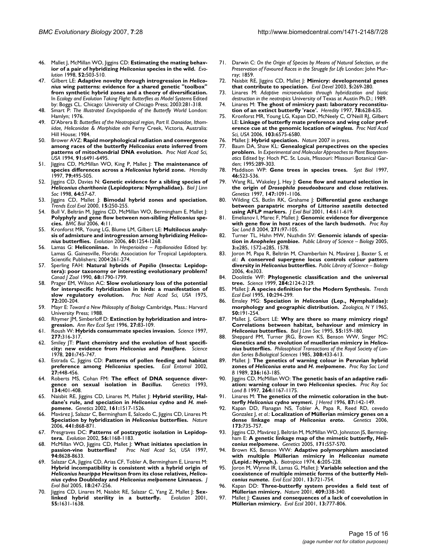- 46. Mallet J, McMillan WO, Jiggins CD: **Estimating the mating behavior of a pair of hybridizing** *Heliconius* **species in the wild.** *Evolution* 1998, **52:**503-510.
- 47. Gilbert LE: **Adaptive novelty through introgression in** *Heliconius* **wing patterns: evidence for a shared genetic "toolbox" from synthetic hybrid zones and a theory of diversification.** In *Ecology and Evolution Taking Flight: Butterflies as Model Systems* Edited by: Boggs CL. Chicago: University of Chicago Press; 2003:281-318.
- 48. Smart P: *The Illustrated Encyclopaedia of the Butterfly World* London: Hamlyn; 1976.
- 49. D'Abrera B: *Butterflies of the Neotropical region, Part II. Danaidae, Ithomiidae, Heliconidae & Morphidae edn* Ferny Creek, Victoria, Australia: Hill House; 1984.
- 50. Brower AVZ: **Rapid morphological radiation and convergence among races of the butterfly** *Heliconius erato* **inferred from patterns of mitochondrial DNA evolution.** *Proc Natl Acad Sci, USA* 1994, **91:**6491-6495.
- 51. Jiggins CD, McMillan WO, King P, Mallet J: **The maintenance of species differences across a** *Heliconius* **hybrid zone.** *Heredity* 1997, **79:**495-505.
- 52. Jiggins CD, Davies N: **Genetic evidence for a sibling species of** *Heliconius charithonia* **(Lepidoptera: Nymphalidae).** *Biol J Linn Soc* 1998, **64:**57-67.
- 53. Jiggins CD, Mallet J: **[Bimodal hybrid zones and speciation.](http://www.ncbi.nlm.nih.gov/entrez/query.fcgi?cmd=Retrieve&db=PubMed&dopt=Abstract&list_uids=10802556)** *Trends Ecol Evol* 2000, **15:**250-255.
- 54. Bull V, Beltrán M, Jiggins CD, McMillan WO, Bermingham E, Mallet J: **Polyphyly and gene flow between non-sibling** *Heliconius* **[spe](http://www.ncbi.nlm.nih.gov/entrez/query.fcgi?cmd=Retrieve&db=PubMed&dopt=Abstract&list_uids=16630334)[cies.](http://www.ncbi.nlm.nih.gov/entrez/query.fcgi?cmd=Retrieve&db=PubMed&dopt=Abstract&list_uids=16630334)** *BMC Biol* 2006, **4:**11.
- 55. Kronforst MR, Young LG, Blume LM, Gilbert LE: **Multilocus analysis of admixture and introgression among hybridizing** *Heliconius* **[butterflies.](http://www.ncbi.nlm.nih.gov/entrez/query.fcgi?cmd=Retrieve&db=PubMed&dopt=Abstract&list_uids=16892975)** *Evolution* 2006, **60:**1254-1268.
- 56. Lamas G: **Heliconiinae.** In *Hesperioidea Papilionoidea* Edited by: Lamas G. Gainesville, Florida: Association for Tropical Lepidoptera. Scientific Publishers; 2004:261-274.
- 57. Sperling FAH: **Natural hybrids of** *Papilio* **(Insecta: Lepidoptera): poor taxonomy or interesting evolutionary problem?** *Canad J Zool* 1990, **68:**1790-1799.
- 58. Prager EM, Wilson AC: **Slow evolutionary loss of the potential for interspecific hybridization in birds: a manifestation of slow regulatory evolution.** *Proc Natl Acad Sci, USA* 1975, **72:**200-204.
- 59. Mayr E: *Toward a New Philosophy of Biology* Cambridge, Mass.: Harvard University Press; 1988.
- 60. Rhymer JM, Simberloff D: **Extinction by hybridization and introgression.** *Ann Rev Ecol Syst* 1996, **27:**83-109.
- 61. Roush W: **Hybrids consummate species invasion.** *Science* 1997, **277:**316-317.
- 62. Smiley JT: **Plant chemistry and the evolution of host specificity: new evidence from** *Heliconius* **and** *Passiflora***.** *Science* 1978, **201:**745-747.
- 63. Estrada C, Jiggins CD: **Patterns of pollen feeding and habitat preference among** *Heliconius* **species.** *Ecol Entomol* 2002, **27:**448-456.
- 64. Roberts MS, Cohan FM: **The effect of DNA sequence divergence on sexual isolation in** *Bacillus***[.](http://www.ncbi.nlm.nih.gov/entrez/query.fcgi?cmd=Retrieve&db=PubMed&dopt=Abstract&list_uids=8325477)** *Genetics* 1993, **134:**401-408.
- 65. Naisbit RE, Jiggins CD, Linares M, Mallet J: **Hybrid sterility, Haldane's rule, and speciation in** *Heliconius cydno* **and** *H. melpomene***[.](http://www.ncbi.nlm.nih.gov/entrez/query.fcgi?cmd=Retrieve&db=PubMed&dopt=Abstract&list_uids=12196397)** *Genetics* 2002, **161:**1517-1526.
- 66. Mavárez J, Salazar C, Bermingham E, Salcedo C, Jiggins CD, Linares M: **Speciation by hybridization in** *Heliconius* **[butterflies.](http://www.ncbi.nlm.nih.gov/entrez/query.fcgi?cmd=Retrieve&db=PubMed&dopt=Abstract&list_uids=16778888)** *Nature* 2006, **441:**868-871.
- 67. Presgraves DC: **[Patterns of postzygotic isolation in Lepidop](http://www.ncbi.nlm.nih.gov/entrez/query.fcgi?cmd=Retrieve&db=PubMed&dopt=Abstract&list_uids=12144018)[tera.](http://www.ncbi.nlm.nih.gov/entrez/query.fcgi?cmd=Retrieve&db=PubMed&dopt=Abstract&list_uids=12144018)** *Evolution* 2002, **56:**1168-1183.
- 68. McMillan WO, Jiggins CD, Mallet J: **What initiates speciation in** Proc Natl Acad Sci, USA 1997, **94:**8628-8633.
- Salazar CA, Jiggins CD, Arias CF, Tobler A, Bermingham E, Linares M: **Hybrid incompatibility is consistent with a hybrid origin of** *Heliconius heurippa* **Hewitson from its close relatives,** *Heliconius cydno* **Doubleday and** *Heliconius melpomene* **[Linnaeus.](http://www.ncbi.nlm.nih.gov/entrez/query.fcgi?cmd=Retrieve&db=PubMed&dopt=Abstract&list_uids=15715831)** *J Evol Biol* 2005, **18:**247-256.
- Jiggins CD, Linares M, Naisbit RE, Salazar C, Yang Z, Mallet J: [Sex](http://www.ncbi.nlm.nih.gov/entrez/query.fcgi?cmd=Retrieve&db=PubMed&dopt=Abstract&list_uids=11580022)**[linked hybrid sterility in a butterfly.](http://www.ncbi.nlm.nih.gov/entrez/query.fcgi?cmd=Retrieve&db=PubMed&dopt=Abstract&list_uids=11580022)** *Evolution* 2001, **55:**1631-1638.
- 71. Darwin C: *On the Origin of Species by Means of Natural Selection, or the Preservation of Favoured Races in the Struggle for Life* London: John Murray; 1859.
- 72. Naisbit RE, Jiggins CD, Mallet J: **Mimicry: developmental genes that contribute to speciation.** *Evol Devel* 2003, **5:**269-280.
- 73. Linares M: *Adaptive microevolution through hybridization and biotic destruction in the neotropics* University of Texas at Austin Ph.D.; 1989.
- 74. Linares M: **The ghost of mimicry past: laboratory reconstitution of an extinct butterfly 'race'.** *Heredity* 1997, **78:**628-635.
- 75. Kronforst MR, Young LG, Kapan DD, McNeely C, O'Neill RJ, Gilbert LE: **Linkage of butterfly mate preference and wing color preference cue at the genomic location of** *wingless***.** *Proc Natl Acad Sci, USA* 2006, **103:**6575-6580.
- 76. Mallet J: **Hybrid speciation.** *Nature* 2007 in press.
- 77. Baum DA, Shaw KL: **Genealogical perspectives on the species problem.** In *Experimental and Molecular Approaches to Plant Biosystematics* Edited by: Hoch PC. St. Louis, Missouri: Missouri Botanical Garden; 1995:289-303.
- 78. Maddison WP: **Gene trees in species trees.** *Syst Biol* 1997, **46:**523-536.
- 79. Wang RL, Wakeley J, Hey J: **Gene flow and natural selection in the origin of** *Drosophila pseudoobscura* **[and close relatives.](http://www.ncbi.nlm.nih.gov/entrez/query.fcgi?cmd=Retrieve&db=PubMed&dopt=Abstract&list_uids=9383055)** *Genetics* 1997, **147:**1091-1106.
- 80. Wilding CS, Butlin RK, Grahame J: **Differential gene exchange between parapatric morphs of** *Littorina saxatilis* **detected using AFLP markers.** *J Evol Biol* 2001, **14:**611-619.
- Emelianov I, Marec F, Mallet J: Genomic evidence for divergence **with gene flow in host races of the larch budmoth.** *Proc Roy Soc Lond B* 2004, **271:**97-105.
- 82. Turner TL, Hahn MW, Nuzhdin SV: **Genomic islands of speciation in** *Anopheles gambiae***.** *Public Library of Science – Biology* 2005, **3:**e285, 1572-e285, 1578.
- 83. Joron M, Papa R, Beltrán M, Chamberlain N, Mavárez J, Baxter S, *et al.*: **A conserved supergene locus controls colour pattern diversity in** *Heliconius* **butterflies.** *Public Library of Science – Biology* 2006, **4:**e303.
- 84. Doolittle WF: **[Phylogenetic classification and the universal](http://www.ncbi.nlm.nih.gov/entrez/query.fcgi?cmd=Retrieve&db=PubMed&dopt=Abstract&list_uids=10381871) [tree.](http://www.ncbi.nlm.nih.gov/entrez/query.fcgi?cmd=Retrieve&db=PubMed&dopt=Abstract&list_uids=10381871)** *Science* 1999, **284:**2124-2129.
- 85. Mallet J: **A species definition for the Modern Synthesis.** *Trends Ecol Evol* 1995, **10:**294-299.
- 86. Emsley MG: **Speciation in** *Heliconius* **(Lep., Nymphalidae): morphology and geographic distribution.** *Zoologica, N Y* 1965, **50:**191-254.
- 87. Mallet J, Gilbert LE: **Why are there so many mimicry rings? Correlations between habitat, behaviour and mimicry in** *Heliconius* **butterflies.** *Biol J Linn Soc* 1995, **55:**159-180.
- 88. Sheppard PM, Turner JRG, Brown KS, Benson WW, Singer MC: **Genetics and the evolution of muellerian mimicry in** *Heliconius* **butterflies.** *Philosophical Transactions of the Royal Society of London Series B-Biological Sciences* 1985, **308:**433-613.
- 89. Mallet J: **The genetics of warning colour in Peruvian hybrid zones of** *Heliconius erato* **and** *H. melpomene***.** *Proc Roy Soc Lond B* 1989, **236:**163-185.
- 90. Jiggins CD, McMillan WO: **The genetic basis of an adaptive radiation: warning colour in two** *Heliconius* **species.** *Proc Roy Soc Lond B* 1997, **264:**1167-1175.
- 91. Linares M: **The genetics of the mimetic coloration in the butterfly** *Heliconius cydno weymeri***.** *J Hered* 1996, **87:**142-149.
- Kapan DD, Flanagan NS, Tobler A, Papa R, Reed RD, cevedo Gonzalez J, *et al.*: **Localization of Müllerian mimicry genes on a dense linkage map of** *Heliconius erato***[.](http://www.ncbi.nlm.nih.gov/entrez/query.fcgi?cmd=Retrieve&db=PubMed&dopt=Abstract&list_uids=16489214)** *Genetics* 2006, **173:**735-757.
- Jiggins CD, Mavárez J, Beltrán M, McMillan WO, Johnston JS, Bermingham E: A genetic linkage map of the mimetic butterfly, Heli*conius melpomene***[.](http://www.ncbi.nlm.nih.gov/entrez/query.fcgi?cmd=Retrieve&db=PubMed&dopt=Abstract&list_uids=15489522)** *Genetics* 2005, **171:**557-570.
- 94. Brown KS, Benson WW: **Adaptive polymorphism associated with multiple Müllerian mimicry in** *Heliconius numata* **(Lepid.: Nymph.).** *Biotropica* 1974, **6:**205-228.
- 95. Joron M, Wynne IR, Lamas G, Mallet J: **Variable selection and the coexistence of multiple mimetic forms of the butterfly** *Heliconius numata***.** *Evol Ecol* 2001, **13:**721-754.
- 96. Kapan DD: **[Three-butterfly system provides a field test of](http://www.ncbi.nlm.nih.gov/entrez/query.fcgi?cmd=Retrieve&db=PubMed&dopt=Abstract&list_uids=11201741) [Müllerian mimicry.](http://www.ncbi.nlm.nih.gov/entrez/query.fcgi?cmd=Retrieve&db=PubMed&dopt=Abstract&list_uids=11201741)** *Nature* 2001, **409:**338-340.
- 97. Mallet J: **Causes and consequences of a lack of coevolution in Müllerian mimicry.** *Evol Ecol* 2001, **13:**777-806.